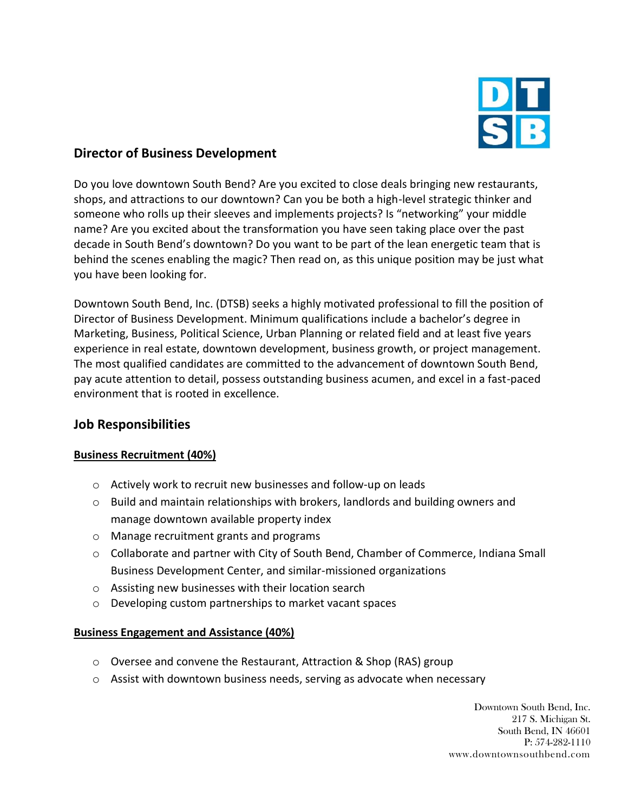

# **Director of Business Development**

Do you love downtown South Bend? Are you excited to close deals bringing new restaurants, shops, and attractions to our downtown? Can you be both a high-level strategic thinker and someone who rolls up their sleeves and implements projects? Is "networking" your middle name? Are you excited about the transformation you have seen taking place over the past decade in South Bend's downtown? Do you want to be part of the lean energetic team that is behind the scenes enabling the magic? Then read on, as this unique position may be just what you have been looking for.

Downtown South Bend, Inc. (DTSB) seeks a highly motivated professional to fill the position of Director of Business Development. Minimum qualifications include a bachelor's degree in Marketing, Business, Political Science, Urban Planning or related field and at least five years experience in real estate, downtown development, business growth, or project management. The most qualified candidates are committed to the advancement of downtown South Bend, pay acute attention to detail, possess outstanding business acumen, and excel in a fast-paced environment that is rooted in excellence.

# **Job Responsibilities**

### **Business Recruitment (40%)**

- o Actively work to recruit new businesses and follow-up on leads
- o Build and maintain relationships with brokers, landlords and building owners and manage downtown available property index
- o Manage recruitment grants and programs
- o Collaborate and partner with City of South Bend, Chamber of Commerce, Indiana Small Business Development Center, and similar-missioned organizations
- o Assisting new businesses with their location search
- o Developing custom partnerships to market vacant spaces

### **Business Engagement and Assistance (40%)**

- $\circ$  Oversee and convene the Restaurant, Attraction & Shop (RAS) group
- $\circ$  Assist with downtown business needs, serving as advocate when necessary

Downtown South Bend, Inc. 217 S. Michigan St. South Bend, IN 46601 P: 574-282-1110 www.downtownsouthbend.com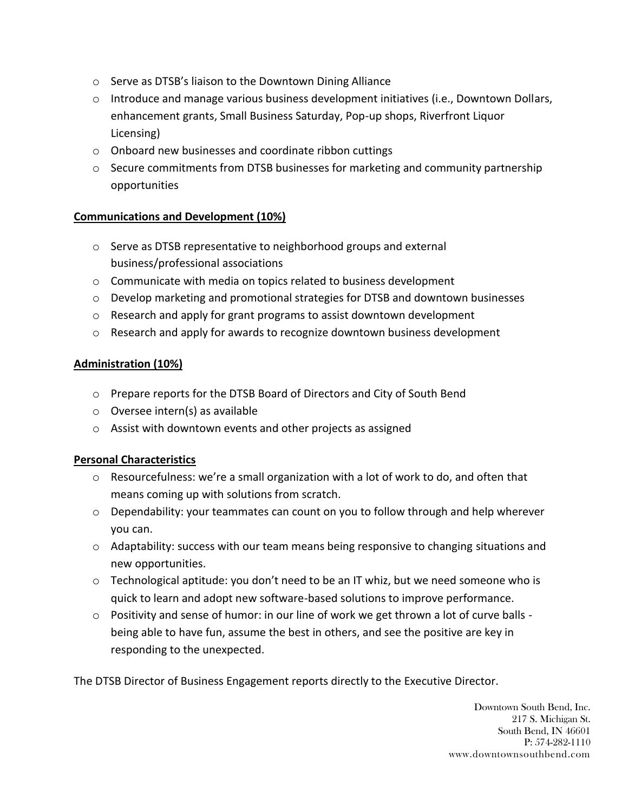- o Serve as DTSB's liaison to the Downtown Dining Alliance
- $\circ$  Introduce and manage various business development initiatives (i.e., Downtown Dollars, enhancement grants, Small Business Saturday, Pop-up shops, Riverfront Liquor Licensing)
- o Onboard new businesses and coordinate ribbon cuttings
- o Secure commitments from DTSB businesses for marketing and community partnership opportunities

## **Communications and Development (10%)**

- o Serve as DTSB representative to neighborhood groups and external business/professional associations
- o Communicate with media on topics related to business development
- o Develop marketing and promotional strategies for DTSB and downtown businesses
- o Research and apply for grant programs to assist downtown development
- o Research and apply for awards to recognize downtown business development

## **Administration (10%)**

- o Prepare reports for the DTSB Board of Directors and City of South Bend
- o Oversee intern(s) as available
- o Assist with downtown events and other projects as assigned

# **Personal Characteristics**

- $\circ$  Resourcefulness: we're a small organization with a lot of work to do, and often that means coming up with solutions from scratch.
- $\circ$  Dependability: your teammates can count on you to follow through and help wherever you can.
- $\circ$  Adaptability: success with our team means being responsive to changing situations and new opportunities.
- o Technological aptitude: you don't need to be an IT whiz, but we need someone who is quick to learn and adopt new software-based solutions to improve performance.
- $\circ$  Positivity and sense of humor: in our line of work we get thrown a lot of curve balls being able to have fun, assume the best in others, and see the positive are key in responding to the unexpected.

The DTSB Director of Business Engagement reports directly to the Executive Director.